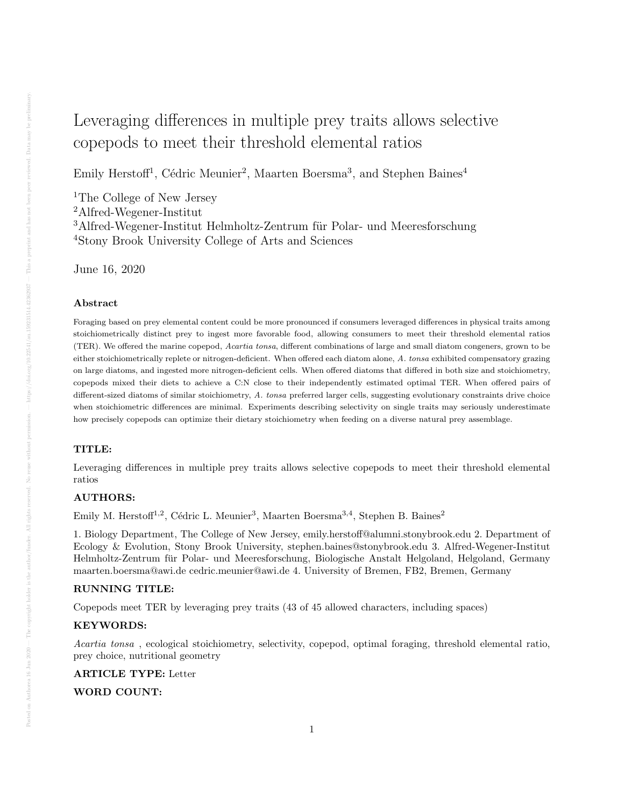# Leveraging differences in multiple prey traits allows selective copepods to meet their threshold elemental ratios

Emily Herstoff<sup>1</sup>, Cédric Meunier<sup>2</sup>, Maarten Boersma<sup>3</sup>, and Stephen Baines<sup>4</sup>

The College of New Jersey Alfred-Wegener-Institut Alfred-Wegener-Institut Helmholtz-Zentrum für Polar- und Meeresforschung Stony Brook University College of Arts and Sciences

June 16, 2020

#### Abstract

Foraging based on prey elemental content could be more pronounced if consumers leveraged differences in physical traits among stoichiometrically distinct prey to ingest more favorable food, allowing consumers to meet their threshold elemental ratios (TER). We offered the marine copepod, Acartia tonsa, different combinations of large and small diatom congeners, grown to be either stoichiometrically replete or nitrogen-deficient. When offered each diatom alone, A. tonsa exhibited compensatory grazing on large diatoms, and ingested more nitrogen-deficient cells. When offered diatoms that differed in both size and stoichiometry, copepods mixed their diets to achieve a C:N close to their independently estimated optimal TER. When offered pairs of different-sized diatoms of similar stoichiometry, A. tonsa preferred larger cells, suggesting evolutionary constraints drive choice when stoichiometric differences are minimal. Experiments describing selectivity on single traits may seriously underestimate how precisely copepods can optimize their dietary stoichiometry when feeding on a diverse natural prey assemblage.

#### TITLE:

Leveraging differences in multiple prey traits allows selective copepods to meet their threshold elemental ratios

# AUTHORS:

Emily M. Herstoff<sup>1,2</sup>, Cédric L. Meunier<sup>3</sup>, Maarten Boersma<sup>3,4</sup>, Stephen B. Baines<sup>2</sup>

1. Biology Department, The College of New Jersey, emily.herstoff@alumni.stonybrook.edu 2. Department of Ecology & Evolution, Stony Brook University, stephen.baines@stonybrook.edu 3. Alfred-Wegener-Institut Helmholtz-Zentrum fur Polar- und Meeresforschung, Biologische Anstalt Helgoland, Helgoland, Germany ¨ maarten.boersma@awi.de cedric.meunier@awi.de 4. University of Bremen, FB2, Bremen, Germany

# RUNNING TITLE:

Copepods meet TER by leveraging prey traits (43 of 45 allowed characters, including spaces)

## KEYWORDS:

Acartia tonsa , ecological stoichiometry, selectivity, copepod, optimal foraging, threshold elemental ratio, prey choice, nutritional geometry

#### ARTICLE TYPE: Letter

WORD COUNT: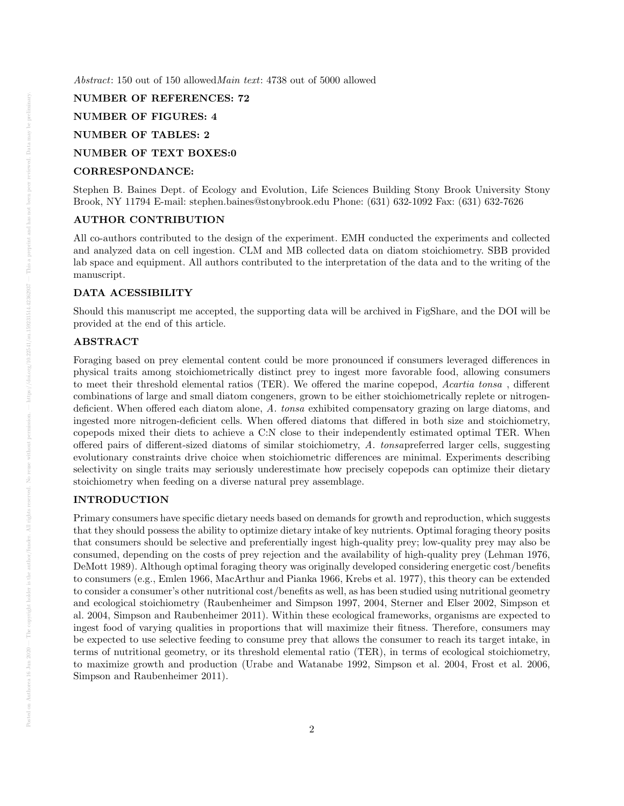Abstract: 150 out of 150 allowedMain text: 4738 out of 5000 allowed

# NUMBER OF REFERENCES: 72

# NUMBER OF FIGURES: 4

# NUMBER OF TABLES: 2

## NUMBER OF TEXT BOXES:0

## CORRESPONDANCE:

Stephen B. Baines Dept. of Ecology and Evolution, Life Sciences Building Stony Brook University Stony Brook, NY 11794 E-mail: stephen.baines@stonybrook.edu Phone: (631) 632-1092 Fax: (631) 632-7626

## AUTHOR CONTRIBUTION

All co-authors contributed to the design of the experiment. EMH conducted the experiments and collected and analyzed data on cell ingestion. CLM and MB collected data on diatom stoichiometry. SBB provided lab space and equipment. All authors contributed to the interpretation of the data and to the writing of the manuscript.

#### DATA ACESSIBILITY

Should this manuscript me accepted, the supporting data will be archived in FigShare, and the DOI will be provided at the end of this article.

# ABSTRACT

Foraging based on prey elemental content could be more pronounced if consumers leveraged differences in physical traits among stoichiometrically distinct prey to ingest more favorable food, allowing consumers to meet their threshold elemental ratios (TER). We offered the marine copepod, Acartia tonsa , different combinations of large and small diatom congeners, grown to be either stoichiometrically replete or nitrogendeficient. When offered each diatom alone, A. tonsa exhibited compensatory grazing on large diatoms, and ingested more nitrogen-deficient cells. When offered diatoms that differed in both size and stoichiometry, copepods mixed their diets to achieve a C:N close to their independently estimated optimal TER. When offered pairs of different-sized diatoms of similar stoichiometry, A. tonsapreferred larger cells, suggesting evolutionary constraints drive choice when stoichiometric differences are minimal. Experiments describing selectivity on single traits may seriously underestimate how precisely copepods can optimize their dietary stoichiometry when feeding on a diverse natural prey assemblage.

#### INTRODUCTION

Primary consumers have specific dietary needs based on demands for growth and reproduction, which suggests that they should possess the ability to optimize dietary intake of key nutrients. Optimal foraging theory posits that consumers should be selective and preferentially ingest high-quality prey; low-quality prey may also be consumed, depending on the costs of prey rejection and the availability of high-quality prey (Lehman 1976, DeMott 1989). Although optimal foraging theory was originally developed considering energetic cost/benefits to consumers (e.g., Emlen 1966, MacArthur and Pianka 1966, Krebs et al. 1977), this theory can be extended to consider a consumer's other nutritional cost/benefits as well, as has been studied using nutritional geometry and ecological stoichiometry (Raubenheimer and Simpson 1997, 2004, Sterner and Elser 2002, Simpson et al. 2004, Simpson and Raubenheimer 2011). Within these ecological frameworks, organisms are expected to ingest food of varying qualities in proportions that will maximize their fitness. Therefore, consumers may be expected to use selective feeding to consume prey that allows the consumer to reach its target intake, in terms of nutritional geometry, or its threshold elemental ratio (TER), in terms of ecological stoichiometry, to maximize growth and production (Urabe and Watanabe 1992, Simpson et al. 2004, Frost et al. 2006, Simpson and Raubenheimer 2011).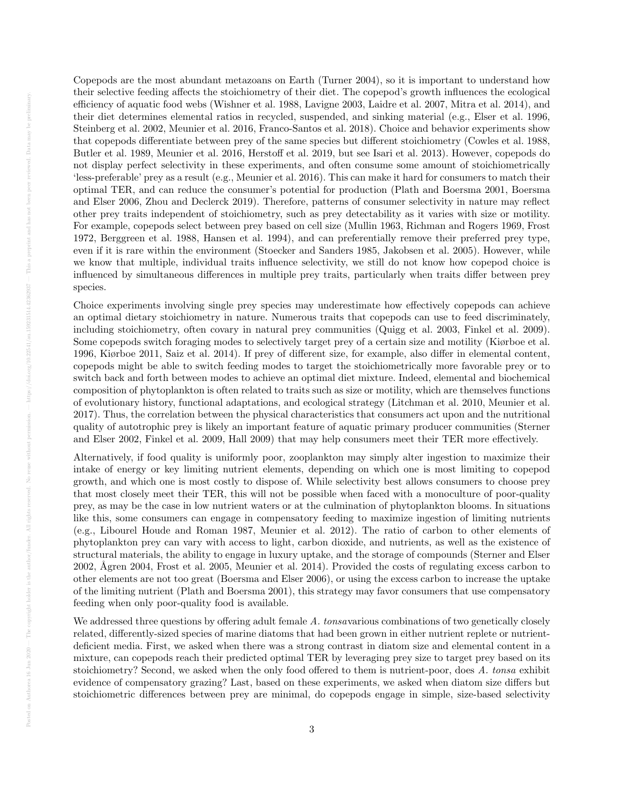Copepods are the most abundant metazoans on Earth (Turner 2004), so it is important to understand how their selective feeding affects the stoichiometry of their diet. The copepod's growth influences the ecological efficiency of aquatic food webs (Wishner et al. 1988, Lavigne 2003, Laidre et al. 2007, Mitra et al. 2014), and their diet determines elemental ratios in recycled, suspended, and sinking material (e.g., Elser et al. 1996, Steinberg et al. 2002, Meunier et al. 2016, Franco-Santos et al. 2018). Choice and behavior experiments show that copepods differentiate between prey of the same species but different stoichiometry (Cowles et al. 1988, Butler et al. 1989, Meunier et al. 2016, Herstoff et al. 2019, but see Isari et al. 2013). However, copepods do not display perfect selectivity in these experiments, and often consume some amount of stoichiometrically 'less-preferable' prey as a result (e.g., Meunier et al. 2016). This can make it hard for consumers to match their optimal TER, and can reduce the consumer's potential for production (Plath and Boersma 2001, Boersma and Elser 2006, Zhou and Declerck 2019). Therefore, patterns of consumer selectivity in nature may reflect other prey traits independent of stoichiometry, such as prey detectability as it varies with size or motility. For example, copepods select between prey based on cell size (Mullin 1963, Richman and Rogers 1969, Frost 1972, Berggreen et al. 1988, Hansen et al. 1994), and can preferentially remove their preferred prey type, even if it is rare within the environment (Stoecker and Sanders 1985, Jakobsen et al. 2005). However, while we know that multiple, individual traits influence selectivity, we still do not know how copepod choice is influenced by simultaneous differences in multiple prey traits, particularly when traits differ between prey species.

Choice experiments involving single prey species may underestimate how effectively copepods can achieve an optimal dietary stoichiometry in nature. Numerous traits that copepods can use to feed discriminately, including stoichiometry, often covary in natural prey communities (Quigg et al. 2003, Finkel et al. 2009). Some copepods switch foraging modes to selectively target prey of a certain size and motility (Kiørboe et al. 1996, Kiørboe 2011, Saiz et al. 2014). If prey of different size, for example, also differ in elemental content, copepods might be able to switch feeding modes to target the stoichiometrically more favorable prey or to switch back and forth between modes to achieve an optimal diet mixture. Indeed, elemental and biochemical composition of phytoplankton is often related to traits such as size or motility, which are themselves functions of evolutionary history, functional adaptations, and ecological strategy (Litchman et al. 2010, Meunier et al. 2017). Thus, the correlation between the physical characteristics that consumers act upon and the nutritional quality of autotrophic prey is likely an important feature of aquatic primary producer communities (Sterner and Elser 2002, Finkel et al. 2009, Hall 2009) that may help consumers meet their TER more effectively.

Alternatively, if food quality is uniformly poor, zooplankton may simply alter ingestion to maximize their intake of energy or key limiting nutrient elements, depending on which one is most limiting to copepod growth, and which one is most costly to dispose of. While selectivity best allows consumers to choose prey that most closely meet their TER, this will not be possible when faced with a monoculture of poor-quality prey, as may be the case in low nutrient waters or at the culmination of phytoplankton blooms. In situations like this, some consumers can engage in compensatory feeding to maximize ingestion of limiting nutrients (e.g., Libourel Houde and Roman 1987, Meunier et al. 2012). The ratio of carbon to other elements of phytoplankton prey can vary with access to light, carbon dioxide, and nutrients, as well as the existence of structural materials, the ability to engage in luxury uptake, and the storage of compounds (Sterner and Elser 2002, Ågren 2004, Frost et al. 2005, Meunier et al. 2014). Provided the costs of regulating excess carbon to other elements are not too great (Boersma and Elser 2006), or using the excess carbon to increase the uptake of the limiting nutrient (Plath and Boersma 2001), this strategy may favor consumers that use compensatory feeding when only poor-quality food is available.

We addressed three questions by offering adult female A. tonsavarious combinations of two genetically closely related, differently-sized species of marine diatoms that had been grown in either nutrient replete or nutrientdeficient media. First, we asked when there was a strong contrast in diatom size and elemental content in a mixture, can copepods reach their predicted optimal TER by leveraging prey size to target prey based on its stoichiometry? Second, we asked when the only food offered to them is nutrient-poor, does A. tonsa exhibit evidence of compensatory grazing? Last, based on these experiments, we asked when diatom size differs but stoichiometric differences between prey are minimal, do copepods engage in simple, size-based selectivity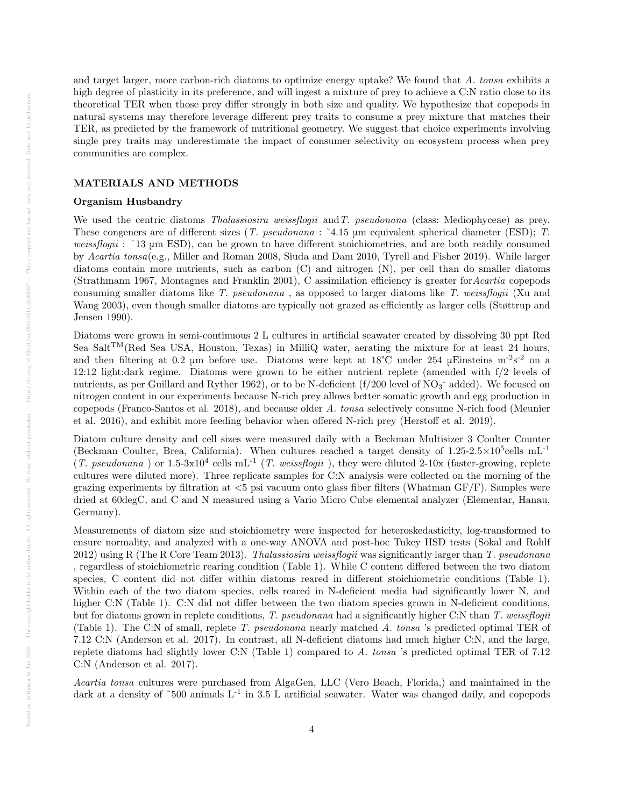and target larger, more carbon-rich diatoms to optimize energy uptake? We found that A. tonsa exhibits a high degree of plasticity in its preference, and will ingest a mixture of prey to achieve a C:N ratio close to its theoretical TER when those prey differ strongly in both size and quality. We hypothesize that copepods in natural systems may therefore leverage different prey traits to consume a prey mixture that matches their TER, as predicted by the framework of nutritional geometry. We suggest that choice experiments involving single prey traits may underestimate the impact of consumer selectivity on ecosystem process when prey communities are complex.

# MATERIALS AND METHODS

## Organism Husbandry

We used the centric diatoms *Thalassiosira weissflogii* and *T. pseudonana* (class: Mediophyceae) as prey. These congeners are of different sizes (T. pseudonana : ˜4.15 μm equivalent spherical diameter (ESD); T. weissflogii: ~13 µm ESD), can be grown to have different stoichiometries, and are both readily consumed by Acartia tonsa(e.g., Miller and Roman 2008, Siuda and Dam 2010, Tyrell and Fisher 2019). While larger diatoms contain more nutrients, such as carbon (C) and nitrogen (N), per cell than do smaller diatoms (Strathmann 1967, Montagnes and Franklin 2001), C assimilation efficiency is greater forAcartia copepods consuming smaller diatoms like T. pseudonana , as opposed to larger diatoms like T. weissflogii (Xu and Wang 2003), even though smaller diatoms are typically not grazed as efficiently as larger cells (Støttrup and Jensen 1990).

Diatoms were grown in semi-continuous 2 L cultures in artificial seawater created by dissolving 30 ppt Red Sea Salt<sup>TM</sup>(Red Sea USA, Houston, Texas) in MilliQ water, aerating the mixture for at least 24 hours, and then filtering at 0.2  $\mu$ m before use. Diatoms were kept at 18°C under 254  $\mu$ Einsteins m<sup>-2</sup>s<sup>-2</sup> on a 12:12 light:dark regime. Diatoms were grown to be either nutrient replete (amended with f/2 levels of nutrients, as per Guillard and Ryther 1962), or to be N-deficient  $(f/200 \text{ level of NO}_3^-$  added). We focused on nitrogen content in our experiments because N-rich prey allows better somatic growth and egg production in copepods (Franco-Santos et al. 2018), and because older A. tonsa selectively consume N-rich food (Meunier et al. 2016), and exhibit more feeding behavior when offered N-rich prey (Herstoff et al. 2019).

Diatom culture density and cell sizes were measured daily with a Beckman Multisizer 3 Coulter Counter (Beckman Coulter, Brea, California). When cultures reached a target density of  $1.25{\text -}2.5\times10^5$ cells mL<sup>-1</sup> (T. pseudonana) or  $1.5{\text -}3x10^4$  cells mL<sup>-1</sup> (T. weissflogii), they were diluted 2-10x (faster-growing, replete cultures were diluted more). Three replicate samples for C:N analysis were collected on the morning of the grazing experiments by filtration at  $\lt 5$  psi vacuum onto glass fiber filters (Whatman GF/F). Samples were dried at 60degC, and C and N measured using a Vario Micro Cube elemental analyzer (Elementar, Hanau, Germany).

Measurements of diatom size and stoichiometry were inspected for heteroskedasticity, log-transformed to ensure normality, and analyzed with a one-way ANOVA and post-hoc Tukey HSD tests (Sokal and Rohlf 2012) using R (The R Core Team 2013). Thalassiosira weissflogii was significantly larger than T. pseudonana , regardless of stoichiometric rearing condition (Table 1). While C content differed between the two diatom species, C content did not differ within diatoms reared in different stoichiometric conditions (Table 1). Within each of the two diatom species, cells reared in N-deficient media had significantly lower N, and higher C:N (Table 1). C:N did not differ between the two diatom species grown in N-deficient conditions, but for diatoms grown in replete conditions, T. pseudonana had a significantly higher C:N than T. weissflogii (Table 1). The C:N of small, replete T. pseudonana nearly matched A. tonsa 's predicted optimal TER of 7.12 C:N (Anderson et al. 2017). In contrast, all N-deficient diatoms had much higher C:N, and the large, replete diatoms had slightly lower C:N (Table 1) compared to A. tonsa 's predicted optimal TER of 7.12 C:N (Anderson et al. 2017).

Acartia tonsa cultures were purchased from AlgaGen, LLC (Vero Beach, Florida,) and maintained in the dark at a density of ~500 animals  $L^{-1}$  in 3.5 L artificial seawater. Water was changed daily, and copepods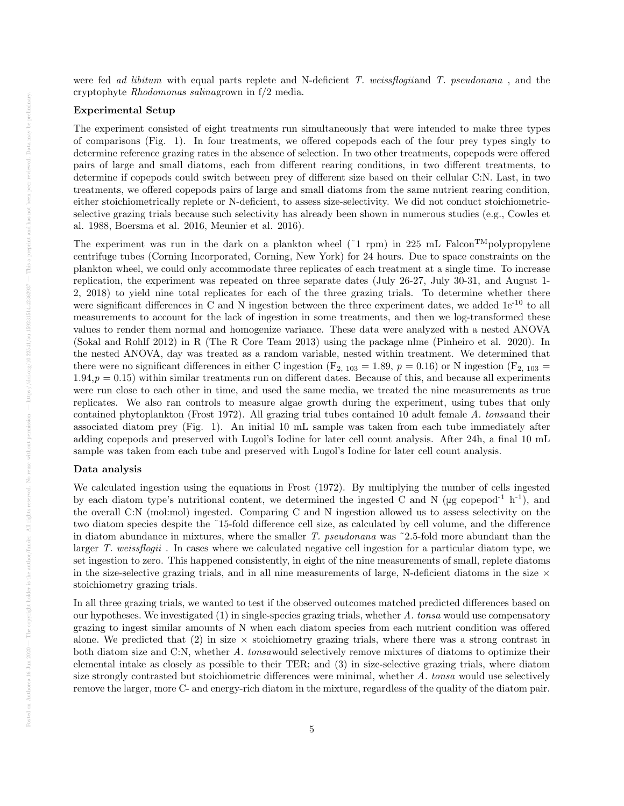were fed ad libitum with equal parts replete and N-deficient T. weissflogiiand T. pseudonana, and the cryptophyte Rhodomonas salinagrown in f/2 media.

#### Experimental Setup

The experiment consisted of eight treatments run simultaneously that were intended to make three types of comparisons (Fig. 1). In four treatments, we offered copepods each of the four prey types singly to determine reference grazing rates in the absence of selection. In two other treatments, copepods were offered pairs of large and small diatoms, each from different rearing conditions, in two different treatments, to determine if copepods could switch between prey of different size based on their cellular C:N. Last, in two treatments, we offered copepods pairs of large and small diatoms from the same nutrient rearing condition, either stoichiometrically replete or N-deficient, to assess size-selectivity. We did not conduct stoichiometricselective grazing trials because such selectivity has already been shown in numerous studies (e.g., Cowles et al. 1988, Boersma et al. 2016, Meunier et al. 2016).

The experiment was run in the dark on a plankton wheel (~1 rpm) in 225 mL Falcon<sup>TM</sup>polypropylene centrifuge tubes (Corning Incorporated, Corning, New York) for 24 hours. Due to space constraints on the plankton wheel, we could only accommodate three replicates of each treatment at a single time. To increase replication, the experiment was repeated on three separate dates (July 26-27, July 30-31, and August 1- 2, 2018) to yield nine total replicates for each of the three grazing trials. To determine whether there were significant differences in C and N ingestion between the three experiment dates, we added  $1e^{-10}$  to all measurements to account for the lack of ingestion in some treatments, and then we log-transformed these values to render them normal and homogenize variance. These data were analyzed with a nested ANOVA (Sokal and Rohlf 2012) in R (The R Core Team 2013) using the package nlme (Pinheiro et al. 2020). In the nested ANOVA, day was treated as a random variable, nested within treatment. We determined that there were no significant differences in either C ingestion (F<sub>2, 103</sub> = 1.89,  $p = 0.16$ ) or N ingestion (F<sub>2, 103</sub> =  $1.94, p = 0.15$ ) within similar treatments run on different dates. Because of this, and because all experiments were run close to each other in time, and used the same media, we treated the nine measurements as true replicates. We also ran controls to measure algae growth during the experiment, using tubes that only contained phytoplankton (Frost 1972). All grazing trial tubes contained 10 adult female A. tonsaand their associated diatom prey (Fig. 1). An initial 10 mL sample was taken from each tube immediately after adding copepods and preserved with Lugol's Iodine for later cell count analysis. After 24h, a final 10 mL sample was taken from each tube and preserved with Lugol's Iodine for later cell count analysis.

#### Data analysis

We calculated ingestion using the equations in Frost (1972). By multiplying the number of cells ingested by each diatom type's nutritional content, we determined the ingested C and N ( $\mu$ g copepod<sup>-1</sup> h<sup>-1</sup>), and the overall C:N (mol:mol) ingested. Comparing C and N ingestion allowed us to assess selectivity on the two diatom species despite the ˜15-fold difference cell size, as calculated by cell volume, and the difference in diatom abundance in mixtures, where the smaller T. pseudonana was ~2.5-fold more abundant than the larger T. weissflogii . In cases where we calculated negative cell ingestion for a particular diatom type, we set ingestion to zero. This happened consistently, in eight of the nine measurements of small, replete diatoms in the size-selective grazing trials, and in all nine measurements of large, N-deficient diatoms in the size  $\times$ stoichiometry grazing trials.

In all three grazing trials, we wanted to test if the observed outcomes matched predicted differences based on our hypotheses. We investigated  $(1)$  in single-species grazing trials, whether A. tonsa would use compensatory grazing to ingest similar amounts of N when each diatom species from each nutrient condition was offered alone. We predicted that (2) in size  $\times$  stoichiometry grazing trials, where there was a strong contrast in both diatom size and C:N, whether A. tonsawould selectively remove mixtures of diatoms to optimize their elemental intake as closely as possible to their TER; and (3) in size-selective grazing trials, where diatom size strongly contrasted but stoichiometric differences were minimal, whether A. tonsa would use selectively remove the larger, more C- and energy-rich diatom in the mixture, regardless of the quality of the diatom pair.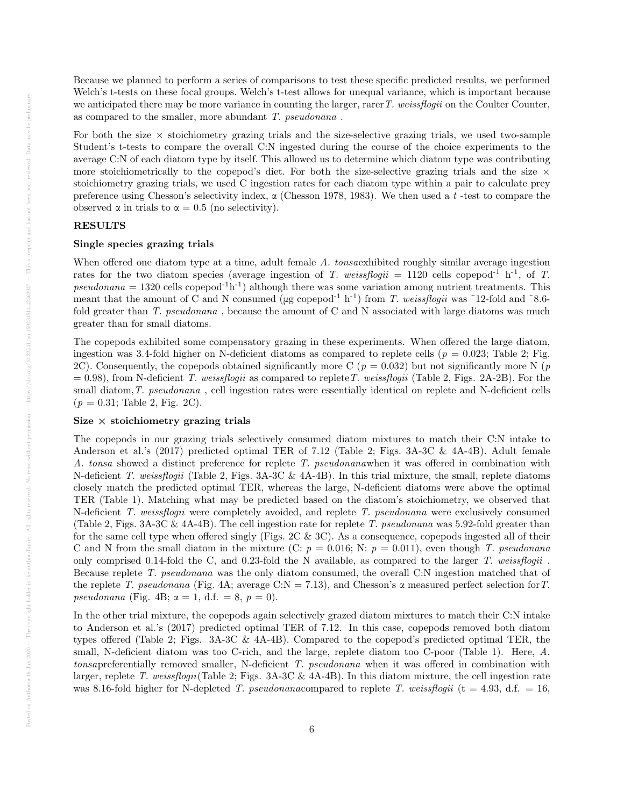Because we planned to perform a series of comparisons to test these specific predicted results, we performed Welch's t-tests on these focal groups. Welch's t-test allows for unequal variance, which is important because we anticipated there may be more variance in counting the larger, rarer  $T$ . weissflogii on the Coulter Counter, as compared to the smaller, more abundant T. pseudonana .

For both the size  $\times$  stoichiometry grazing trials and the size-selective grazing trials, we used two-sample Student's t-tests to compare the overall C:N ingested during the course of the choice experiments to the average C:N of each diatom type by itself. This allowed us to determine which diatom type was contributing more stoichiometrically to the copepod's diet. For both the size-selective grazing trials and the size  $\times$ stoichiometry grazing trials, we used C ingestion rates for each diatom type within a pair to calculate prey preference using Chesson's selectivity index,  $\alpha$  (Chesson 1978, 1983). We then used a t-test to compare the observed  $\alpha$  in trials to  $\alpha = 0.5$  (no selectivity).

# RESULTS

#### Single species grazing trials

When offered one diatom type at a time, adult female A. tonsaexhibited roughly similar average ingestion rates for the two diatom species (average ingestion of T. weissflogii = 1120 cells copepod<sup>-1</sup> h<sup>-1</sup>, of T. pseudonana = 1320 cells copepod<sup>-1</sup>h<sup>-1</sup>) although there was some variation among nutrient treatments. This meant that the amount of C and N consumed ( $\mu$ g copepod<sup>-1</sup> h<sup>-1</sup>) from T. weissflogii was ~12-fold and ~8.6fold greater than T. pseudonana, because the amount of C and N associated with large diatoms was much greater than for small diatoms.

The copepods exhibited some compensatory grazing in these experiments. When offered the large diatom, ingestion was 3.4-fold higher on N-deficient diatoms as compared to replete cells ( $p = 0.023$ ; Table 2; Fig. 2C). Consequently, the copepods obtained significantly more C ( $p = 0.032$ ) but not significantly more N ( $p$ )  $= 0.98$ ), from N-deficient T. weissflogii as compared to replete T. weissflogii (Table 2, Figs. 2A-2B). For the small diatom, T. pseudonana, cell ingestion rates were essentially identical on replete and N-deficient cells  $(p = 0.31;$  Table 2, Fig. 2C).

## Size  $\times$  stoichiometry grazing trials

The copepods in our grazing trials selectively consumed diatom mixtures to match their C:N intake to Anderson et al.'s (2017) predicted optimal TER of 7.12 (Table 2; Figs. 3A-3C & 4A-4B). Adult female A. tonsa showed a distinct preference for replete T. pseudonanawhen it was offered in combination with N-deficient T. weissflogii (Table 2, Figs. 3A-3C & 4A-4B). In this trial mixture, the small, replete diatoms closely match the predicted optimal TER, whereas the large, N-deficient diatoms were above the optimal TER (Table 1). Matching what may be predicted based on the diatom's stoichiometry, we observed that N-deficient T. weissflogii were completely avoided, and replete T. pseudonana were exclusively consumed (Table 2, Figs. 3A-3C & 4A-4B). The cell ingestion rate for replete T. pseudonana was 5.92-fold greater than for the same cell type when offered singly (Figs. 2C & 3C). As a consequence, copepods ingested all of their C and N from the small diatom in the mixture (C:  $p = 0.016$ ; N:  $p = 0.011$ ), even though T. pseudonana only comprised 0.14-fold the C, and 0.23-fold the N available, as compared to the larger T. weissflogii . Because replete T. pseudonana was the only diatom consumed, the overall C:N ingestion matched that of the replete T. pseudonana (Fig. 4A; average C:N = 7.13), and Chesson's  $\alpha$  measured perfect selection for T. pseudonana (Fig. 4B;  $\alpha = 1$ , d.f. = 8,  $p = 0$ ).

In the other trial mixture, the copepods again selectively grazed diatom mixtures to match their C:N intake to Anderson et al.'s (2017) predicted optimal TER of 7.12. In this case, copepods removed both diatom types offered (Table 2; Figs. 3A-3C & 4A-4B). Compared to the copepod's predicted optimal TER, the small, N-deficient diatom was too C-rich, and the large, replete diatom too C-poor (Table 1). Here, A. tonsapreferentially removed smaller, N-deficient T. pseudonana when it was offered in combination with larger, replete T. weissflogii(Table 2; Figs. 3A-3C & 4A-4B). In this diatom mixture, the cell ingestion rate was 8.16-fold higher for N-depleted T. pseudonanacompared to replete T. weissflogii (t = 4.93, d.f. = 16,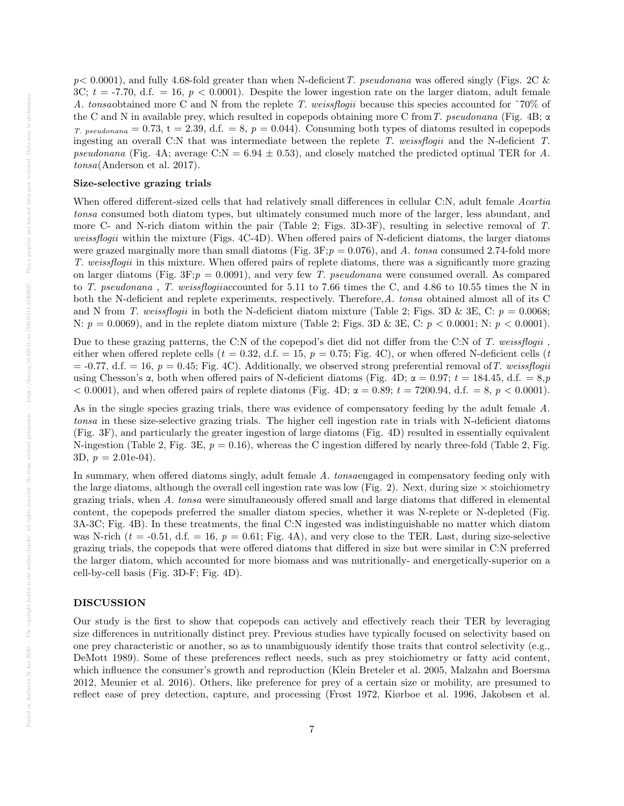$p< 0.0001$ ), and fully 4.68-fold greater than when N-deficient T. pseudonana was offered singly (Figs. 2C & 3C;  $t = -7.70$ , d.f. = 16,  $p < 0.0001$ ). Despite the lower ingestion rate on the larger diatom, adult female A. tonsaobtained more C and N from the replete T. weissflogii because this species accounted for ˜70% of the C and N in available prey, which resulted in copepods obtaining more C from T. pseudonana (Fig. 4B;  $\alpha$ T. pseudonana = 0.73, t = 2.39, d.f. = 8,  $p = 0.044$ ). Consuming both types of diatoms resulted in copepods ingesting an overall C:N that was intermediate between the replete T. weissflogii and the N-deficient T. pseudonana (Fig. 4A; average C:N =  $6.94 \pm 0.53$ ), and closely matched the predicted optimal TER for A. tonsa(Anderson et al. 2017).

# Size-selective grazing trials

When offered different-sized cells that had relatively small differences in cellular C:N, adult female Acartia tonsa consumed both diatom types, but ultimately consumed much more of the larger, less abundant, and more C- and N-rich diatom within the pair (Table 2; Figs. 3D-3F), resulting in selective removal of T. weissflogii within the mixture (Figs. 4C-4D). When offered pairs of N-deficient diatoms, the larger diatoms were grazed marginally more than small diatoms (Fig.  $3F$ ;  $p = 0.076$ ), and A. tonsa consumed 2.74-fold more T. weissflogii in this mixture. When offered pairs of replete diatoms, there was a significantly more grazing on larger diatoms (Fig.  $3F;p = 0.0091$ ), and very few T. pseudonana were consumed overall. As compared to T. pseudonana , T. weissflogiiaccounted for 5.11 to 7.66 times the C, and 4.86 to 10.55 times the N in both the N-deficient and replete experiments, respectively. Therefore,A. tonsa obtained almost all of its C and N from T. weissflogii in both the N-deficient diatom mixture (Table 2; Figs. 3D & 3E, C:  $p = 0.0068$ ; N:  $p = 0.0069$ , and in the replete diatom mixture (Table 2; Figs. 3D & 3E, C:  $p < 0.0001$ ; N:  $p < 0.0001$ ).

Due to these grazing patterns, the C:N of the copepod's diet did not differ from the C:N of T. weissflogii. either when offered replete cells ( $t = 0.32$ , d.f. = 15,  $p = 0.75$ ; Fig. 4C), or when offered N-deficient cells (t  $=$  -0.77, d.f.  $=$  16,  $p = 0.45$ ; Fig. 4C). Additionally, we observed strong preferential removal of T. weissflogii using Chesson's  $\alpha$ , both when offered pairs of N-deficient diatoms (Fig. 4D;  $\alpha = 0.97$ ;  $t = 184.45$ , d.f.  $= 8, p$  $< 0.0001$ , and when offered pairs of replete diatoms (Fig. 4D;  $\alpha = 0.89$ ;  $t = 7200.94$ , d.f. = 8,  $p < 0.0001$ ).

As in the single species grazing trials, there was evidence of compensatory feeding by the adult female A. tonsa in these size-selective grazing trials. The higher cell ingestion rate in trials with N-deficient diatoms (Fig. 3F), and particularly the greater ingestion of large diatoms (Fig. 4D) resulted in essentially equivalent N-ingestion (Table 2, Fig. 3E,  $p = 0.16$ ), whereas the C ingestion differed by nearly three-fold (Table 2, Fig. 3D,  $p = 2.01e-04$ .

In summary, when offered diatoms singly, adult female A. tonsaengaged in compensatory feeding only with the large diatoms, although the overall cell ingestion rate was low (Fig. 2). Next, during size  $\times$  stoichiometry grazing trials, when A. tonsa were simultaneously offered small and large diatoms that differed in elemental content, the copepods preferred the smaller diatom species, whether it was N-replete or N-depleted (Fig. 3A-3C; Fig. 4B). In these treatments, the final C:N ingested was indistinguishable no matter which diatom was N-rich ( $t = -0.51$ , d.f. = 16,  $p = 0.61$ ; Fig. 4A), and very close to the TER. Last, during size-selective grazing trials, the copepods that were offered diatoms that differed in size but were similar in C:N preferred the larger diatom, which accounted for more biomass and was nutritionally- and energetically-superior on a cell-by-cell basis (Fig. 3D-F; Fig. 4D).

## DISCUSSION

Our study is the first to show that copepods can actively and effectively reach their TER by leveraging size differences in nutritionally distinct prey. Previous studies have typically focused on selectivity based on one prey characteristic or another, so as to unambiguously identify those traits that control selectivity (e.g., DeMott 1989). Some of these preferences reflect needs, such as prey stoichiometry or fatty acid content, which influence the consumer's growth and reproduction (Klein Breteler et al. 2005, Malzahn and Boersma 2012, Meunier et al. 2016). Others, like preference for prey of a certain size or mobility, are presumed to reflect ease of prey detection, capture, and processing (Frost 1972, Kiørboe et al. 1996, Jakobsen et al.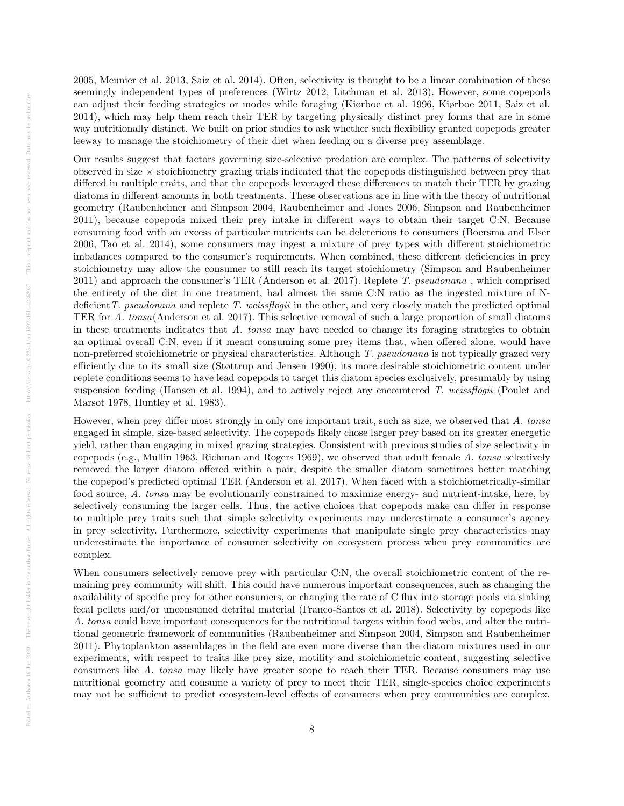2005, Meunier et al. 2013, Saiz et al. 2014). Often, selectivity is thought to be a linear combination of these seemingly independent types of preferences (Wirtz 2012, Litchman et al. 2013). However, some copepods can adjust their feeding strategies or modes while foraging (Kiørboe et al. 1996, Kiørboe 2011, Saiz et al. 2014), which may help them reach their TER by targeting physically distinct prey forms that are in some way nutritionally distinct. We built on prior studies to ask whether such flexibility granted copepods greater leeway to manage the stoichiometry of their diet when feeding on a diverse prey assemblage.

Our results suggest that factors governing size-selective predation are complex. The patterns of selectivity observed in size  $\times$  stoichiometry grazing trials indicated that the copepods distinguished between prey that differed in multiple traits, and that the copepods leveraged these differences to match their TER by grazing diatoms in different amounts in both treatments. These observations are in line with the theory of nutritional geometry (Raubenheimer and Simpson 2004, Raubenheimer and Jones 2006, Simpson and Raubenheimer 2011), because copepods mixed their prey intake in different ways to obtain their target C:N. Because consuming food with an excess of particular nutrients can be deleterious to consumers (Boersma and Elser 2006, Tao et al. 2014), some consumers may ingest a mixture of prey types with different stoichiometric imbalances compared to the consumer's requirements. When combined, these different deficiencies in prey stoichiometry may allow the consumer to still reach its target stoichiometry (Simpson and Raubenheimer 2011) and approach the consumer's TER (Anderson et al. 2017). Replete T. pseudonana , which comprised the entirety of the diet in one treatment, had almost the same C:N ratio as the ingested mixture of Ndeficient T. pseudonana and replete T. weissflogii in the other, and very closely match the predicted optimal TER for A. tonsa(Anderson et al. 2017). This selective removal of such a large proportion of small diatoms in these treatments indicates that  $A$ . tonsa may have needed to change its foraging strategies to obtain an optimal overall C:N, even if it meant consuming some prey items that, when offered alone, would have non-preferred stoichiometric or physical characteristics. Although T. pseudonana is not typically grazed very efficiently due to its small size (Støttrup and Jensen 1990), its more desirable stoichiometric content under replete conditions seems to have lead copepods to target this diatom species exclusively, presumably by using suspension feeding (Hansen et al. 1994), and to actively reject any encountered T. weissflogii (Poulet and Marsot 1978, Huntley et al. 1983).

However, when prey differ most strongly in only one important trait, such as size, we observed that A. tonsa engaged in simple, size-based selectivity. The copepods likely chose larger prey based on its greater energetic yield, rather than engaging in mixed grazing strategies. Consistent with previous studies of size selectivity in copepods (e.g., Mullin 1963, Richman and Rogers 1969), we observed that adult female A. tonsa selectively removed the larger diatom offered within a pair, despite the smaller diatom sometimes better matching the copepod's predicted optimal TER (Anderson et al. 2017). When faced with a stoichiometrically-similar food source, A. tonsa may be evolutionarily constrained to maximize energy- and nutrient-intake, here, by selectively consuming the larger cells. Thus, the active choices that copepods make can differ in response to multiple prey traits such that simple selectivity experiments may underestimate a consumer's agency in prey selectivity. Furthermore, selectivity experiments that manipulate single prey characteristics may underestimate the importance of consumer selectivity on ecosystem process when prey communities are complex.

When consumers selectively remove prey with particular C:N, the overall stoichiometric content of the remaining prey community will shift. This could have numerous important consequences, such as changing the availability of specific prey for other consumers, or changing the rate of C flux into storage pools via sinking fecal pellets and/or unconsumed detrital material (Franco-Santos et al. 2018). Selectivity by copepods like A. tonsa could have important consequences for the nutritional targets within food webs, and alter the nutritional geometric framework of communities (Raubenheimer and Simpson 2004, Simpson and Raubenheimer 2011). Phytoplankton assemblages in the field are even more diverse than the diatom mixtures used in our experiments, with respect to traits like prey size, motility and stoichiometric content, suggesting selective consumers like A. tonsa may likely have greater scope to reach their TER. Because consumers may use nutritional geometry and consume a variety of prey to meet their TER, single-species choice experiments may not be sufficient to predict ecosystem-level effects of consumers when prey communities are complex.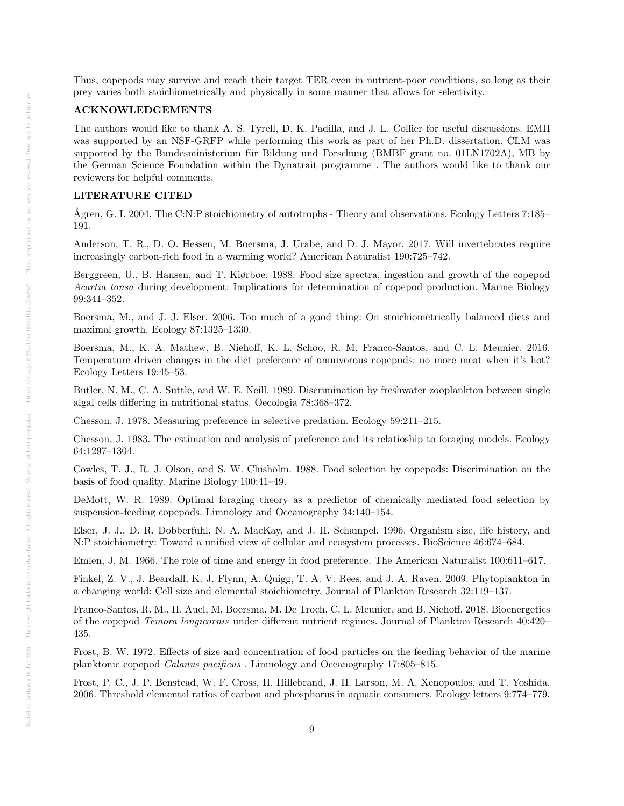Thus, copepods may survive and reach their target TER even in nutrient-poor conditions, so long as their prey varies both stoichiometrically and physically in some manner that allows for selectivity.

#### ACKNOWLEDGEMENTS

The authors would like to thank A. S. Tyrell, D. K. Padilla, and J. L. Collier for useful discussions. EMH was supported by an NSF-GRFP while performing this work as part of her Ph.D. dissertation. CLM was supported by the Bundesministerium für Bildung und Forschung (BMBF grant no. 01LN1702A), MB by the German Science Foundation within the Dynatrait programme . The authors would like to thank our reviewers for helpful comments.

## LITERATURE CITED

Ågren, G. I. 2004. The C:N:P stoichiometry of autotrophs - Theory and observations. Ecology Letters 7:185– 191.

Anderson, T. R., D. O. Hessen, M. Boersma, J. Urabe, and D. J. Mayor. 2017. Will invertebrates require increasingly carbon-rich food in a warming world? American Naturalist 190:725–742.

Berggreen, U., B. Hansen, and T. Kiørboe. 1988. Food size spectra, ingestion and growth of the copepod Acartia tonsa during development: Implications for determination of copepod production. Marine Biology 99:341–352.

Boersma, M., and J. J. Elser. 2006. Too much of a good thing: On stoichiometrically balanced diets and maximal growth. Ecology 87:1325–1330.

Boersma, M., K. A. Mathew, B. Niehoff, K. L. Schoo, R. M. Franco-Santos, and C. L. Meunier. 2016. Temperature driven changes in the diet preference of omnivorous copepods: no more meat when it's hot? Ecology Letters 19:45–53.

Butler, N. M., C. A. Suttle, and W. E. Neill. 1989. Discrimination by freshwater zooplankton between single algal cells differing in nutritional status. Oecologia 78:368–372.

Chesson, J. 1978. Measuring preference in selective predation. Ecology 59:211–215.

Chesson, J. 1983. The estimation and analysis of preference and its relatioship to foraging models. Ecology 64:1297–1304.

Cowles, T. J., R. J. Olson, and S. W. Chisholm. 1988. Food selection by copepods: Discrimination on the basis of food quality. Marine Biology 100:41–49.

DeMott, W. R. 1989. Optimal foraging theory as a predictor of chemically mediated food selection by suspension-feeding copepods. Limnology and Oceanography 34:140–154.

Elser, J. J., D. R. Dobberfuhl, N. A. MacKay, and J. H. Schampel. 1996. Organism size, life history, and N:P stoichiometry: Toward a unified view of cellular and ecosystem processes. BioScience 46:674–684.

Emlen, J. M. 1966. The role of time and energy in food preference. The American Naturalist 100:611–617.

Finkel, Z. V., J. Beardall, K. J. Flynn, A. Quigg, T. A. V. Rees, and J. A. Raven. 2009. Phytoplankton in a changing world: Cell size and elemental stoichiometry. Journal of Plankton Research 32:119–137.

Franco-Santos, R. M., H. Auel, M. Boersma, M. De Troch, C. L. Meunier, and B. Niehoff. 2018. Bioenergetics of the copepod Temora longicornis under different nutrient regimes. Journal of Plankton Research 40:420– 435.

Frost, B. W. 1972. Effects of size and concentration of food particles on the feeding behavior of the marine planktonic copepod Calanus pacificus . Limnology and Oceanography 17:805–815.

Frost, P. C., J. P. Benstead, W. F. Cross, H. Hillebrand, J. H. Larson, M. A. Xenopoulos, and T. Yoshida. 2006. Threshold elemental ratios of carbon and phosphorus in aquatic consumers. Ecology letters 9:774–779.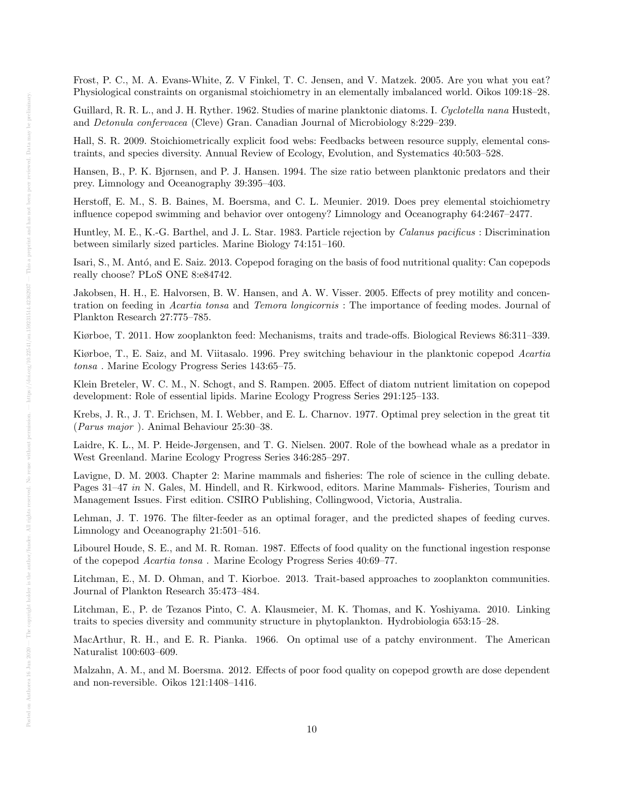Frost, P. C., M. A. Evans-White, Z. V Finkel, T. C. Jensen, and V. Matzek. 2005. Are you what you eat? Physiological constraints on organismal stoichiometry in an elementally imbalanced world. Oikos 109:18–28.

Guillard, R. R. L., and J. H. Ryther. 1962. Studies of marine planktonic diatoms. I. Cyclotella nana Hustedt, and Detonula confervacea (Cleve) Gran. Canadian Journal of Microbiology 8:229–239.

Hall, S. R. 2009. Stoichiometrically explicit food webs: Feedbacks between resource supply, elemental constraints, and species diversity. Annual Review of Ecology, Evolution, and Systematics 40:503–528.

Hansen, B., P. K. Bjørnsen, and P. J. Hansen. 1994. The size ratio between planktonic predators and their prey. Limnology and Oceanography 39:395–403.

Herstoff, E. M., S. B. Baines, M. Boersma, and C. L. Meunier. 2019. Does prey elemental stoichiometry influence copepod swimming and behavior over ontogeny? Limnology and Oceanography 64:2467–2477.

Huntley, M. E., K.-G. Barthel, and J. L. Star. 1983. Particle rejection by Calanus pacificus : Discrimination between similarly sized particles. Marine Biology 74:151–160.

Isari, S., M. Antó, and E. Saiz. 2013. Copepod foraging on the basis of food nutritional quality: Can copepods really choose? PLoS ONE 8:e84742.

Jakobsen, H. H., E. Halvorsen, B. W. Hansen, and A. W. Visser. 2005. Effects of prey motility and concentration on feeding in Acartia tonsa and Temora longicornis : The importance of feeding modes. Journal of Plankton Research 27:775–785.

Kiørboe, T. 2011. How zooplankton feed: Mechanisms, traits and trade-offs. Biological Reviews 86:311–339.

Kiørboe, T., E. Saiz, and M. Viitasalo. 1996. Prey switching behaviour in the planktonic copepod Acartia tonsa . Marine Ecology Progress Series 143:65–75.

Klein Breteler, W. C. M., N. Schogt, and S. Rampen. 2005. Effect of diatom nutrient limitation on copepod development: Role of essential lipids. Marine Ecology Progress Series 291:125–133.

Krebs, J. R., J. T. Erichsen, M. I. Webber, and E. L. Charnov. 1977. Optimal prey selection in the great tit (Parus major ). Animal Behaviour 25:30–38.

Laidre, K. L., M. P. Heide-Jørgensen, and T. G. Nielsen. 2007. Role of the bowhead whale as a predator in West Greenland. Marine Ecology Progress Series 346:285–297.

Lavigne, D. M. 2003. Chapter 2: Marine mammals and fisheries: The role of science in the culling debate. Pages 31–47 in N. Gales, M. Hindell, and R. Kirkwood, editors. Marine Mammals- Fisheries, Tourism and Management Issues. First edition. CSIRO Publishing, Collingwood, Victoria, Australia.

Lehman, J. T. 1976. The filter-feeder as an optimal forager, and the predicted shapes of feeding curves. Limnology and Oceanography 21:501–516.

Libourel Houde, S. E., and M. R. Roman. 1987. Effects of food quality on the functional ingestion response of the copepod Acartia tonsa . Marine Ecology Progress Series 40:69–77.

Litchman, E., M. D. Ohman, and T. Kiorboe. 2013. Trait-based approaches to zooplankton communities. Journal of Plankton Research 35:473–484.

Litchman, E., P. de Tezanos Pinto, C. A. Klausmeier, M. K. Thomas, and K. Yoshiyama. 2010. Linking traits to species diversity and community structure in phytoplankton. Hydrobiologia 653:15–28.

MacArthur, R. H., and E. R. Pianka. 1966. On optimal use of a patchy environment. The American Naturalist 100:603–609.

Malzahn, A. M., and M. Boersma. 2012. Effects of poor food quality on copepod growth are dose dependent and non-reversible. Oikos 121:1408–1416.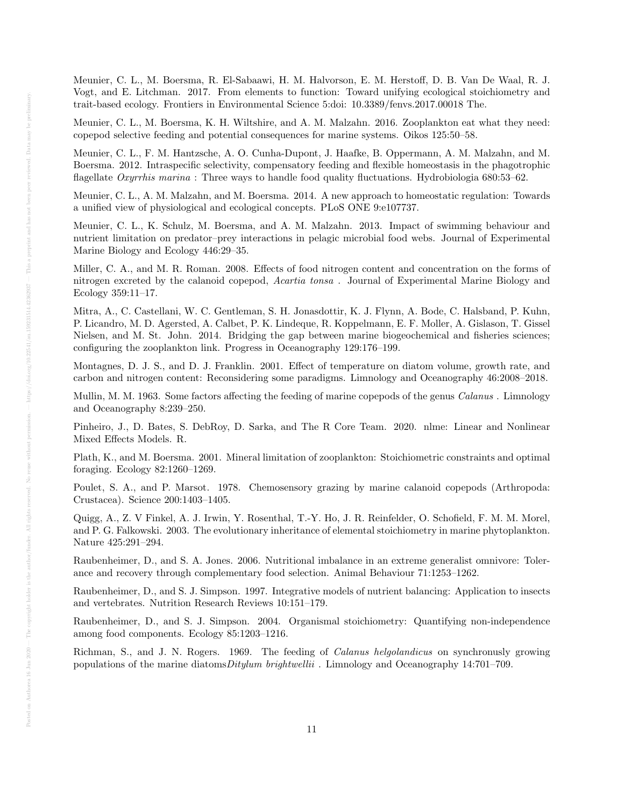Meunier, C. L., M. Boersma, R. El-Sabaawi, H. M. Halvorson, E. M. Herstoff, D. B. Van De Waal, R. J. Vogt, and E. Litchman. 2017. From elements to function: Toward unifying ecological stoichiometry and trait-based ecology. Frontiers in Environmental Science 5:doi: 10.3389/fenvs.2017.00018 The.

Meunier, C. L., M. Boersma, K. H. Wiltshire, and A. M. Malzahn. 2016. Zooplankton eat what they need: copepod selective feeding and potential consequences for marine systems. Oikos 125:50–58.

Meunier, C. L., F. M. Hantzsche, A. O. Cunha-Dupont, J. Haafke, B. Oppermann, A. M. Malzahn, and M. Boersma. 2012. Intraspecific selectivity, compensatory feeding and flexible homeostasis in the phagotrophic flagellate Oxyrrhis marina : Three ways to handle food quality fluctuations. Hydrobiologia 680:53–62.

Meunier, C. L., A. M. Malzahn, and M. Boersma. 2014. A new approach to homeostatic regulation: Towards a unified view of physiological and ecological concepts. PLoS ONE 9:e107737.

Meunier, C. L., K. Schulz, M. Boersma, and A. M. Malzahn. 2013. Impact of swimming behaviour and nutrient limitation on predator–prey interactions in pelagic microbial food webs. Journal of Experimental Marine Biology and Ecology 446:29–35.

Miller, C. A., and M. R. Roman. 2008. Effects of food nitrogen content and concentration on the forms of nitrogen excreted by the calanoid copepod, Acartia tonsa . Journal of Experimental Marine Biology and Ecology 359:11–17.

Mitra, A., C. Castellani, W. C. Gentleman, S. H. Jonasdottir, K. J. Flynn, A. Bode, C. Halsband, P. Kuhn, P. Licandro, M. D. Agersted, A. Calbet, P. K. Lindeque, R. Koppelmann, E. F. Moller, A. Gislason, T. Gissel Nielsen, and M. St. John. 2014. Bridging the gap between marine biogeochemical and fisheries sciences; configuring the zooplankton link. Progress in Oceanography 129:176–199.

Montagnes, D. J. S., and D. J. Franklin. 2001. Effect of temperature on diatom volume, growth rate, and carbon and nitrogen content: Reconsidering some paradigms. Limnology and Oceanography 46:2008–2018.

Mullin, M. M. 1963. Some factors affecting the feeding of marine copepods of the genus *Calanus*. Limnology and Oceanography 8:239–250.

Pinheiro, J., D. Bates, S. DebRoy, D. Sarka, and The R Core Team. 2020. nlme: Linear and Nonlinear Mixed Effects Models. R.

Plath, K., and M. Boersma. 2001. Mineral limitation of zooplankton: Stoichiometric constraints and optimal foraging. Ecology 82:1260–1269.

Poulet, S. A., and P. Marsot. 1978. Chemosensory grazing by marine calanoid copepods (Arthropoda: Crustacea). Science 200:1403–1405.

Quigg, A., Z. V Finkel, A. J. Irwin, Y. Rosenthal, T.-Y. Ho, J. R. Reinfelder, O. Schofield, F. M. M. Morel, and P. G. Falkowski. 2003. The evolutionary inheritance of elemental stoichiometry in marine phytoplankton. Nature 425:291–294.

Raubenheimer, D., and S. A. Jones. 2006. Nutritional imbalance in an extreme generalist omnivore: Tolerance and recovery through complementary food selection. Animal Behaviour 71:1253–1262.

Raubenheimer, D., and S. J. Simpson. 1997. Integrative models of nutrient balancing: Application to insects and vertebrates. Nutrition Research Reviews 10:151–179.

Raubenheimer, D., and S. J. Simpson. 2004. Organismal stoichiometry: Quantifying non-independence among food components. Ecology 85:1203–1216.

Richman, S., and J. N. Rogers. 1969. The feeding of Calanus helgolandicus on synchronusly growing populations of the marine diatomsDitylum brightwellii . Limnology and Oceanography 14:701–709.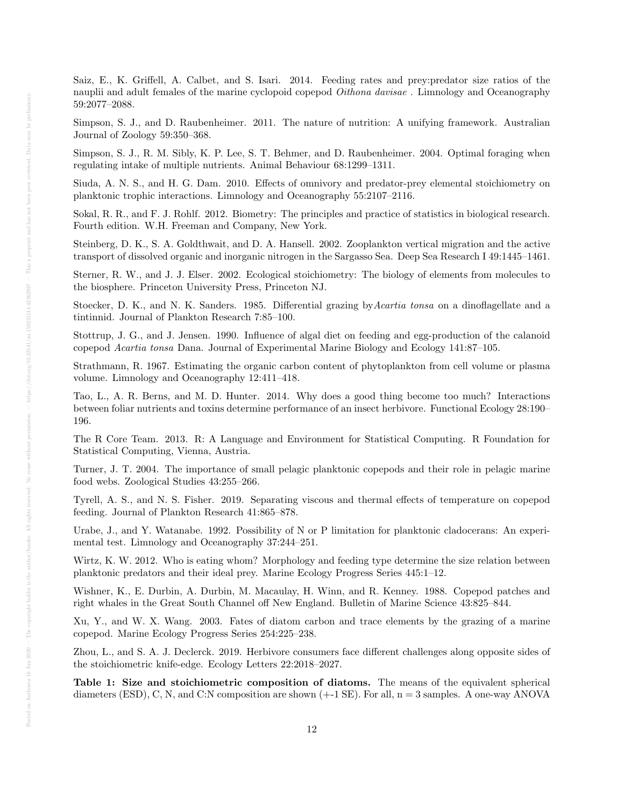Saiz, E., K. Griffell, A. Calbet, and S. Isari. 2014. Feeding rates and prey:predator size ratios of the nauplii and adult females of the marine cyclopoid copepod *Oithona davisae*. Limnology and Oceanography 59:2077–2088.

Simpson, S. J., and D. Raubenheimer. 2011. The nature of nutrition: A unifying framework. Australian Journal of Zoology 59:350–368.

Simpson, S. J., R. M. Sibly, K. P. Lee, S. T. Behmer, and D. Raubenheimer. 2004. Optimal foraging when regulating intake of multiple nutrients. Animal Behaviour 68:1299–1311.

Siuda, A. N. S., and H. G. Dam. 2010. Effects of omnivory and predator-prey elemental stoichiometry on planktonic trophic interactions. Limnology and Oceanography 55:2107–2116.

Sokal, R. R., and F. J. Rohlf. 2012. Biometry: The principles and practice of statistics in biological research. Fourth edition. W.H. Freeman and Company, New York.

Steinberg, D. K., S. A. Goldthwait, and D. A. Hansell. 2002. Zooplankton vertical migration and the active transport of dissolved organic and inorganic nitrogen in the Sargasso Sea. Deep Sea Research I 49:1445–1461.

Sterner, R. W., and J. J. Elser. 2002. Ecological stoichiometry: The biology of elements from molecules to the biosphere. Princeton University Press, Princeton NJ.

Stoecker, D. K., and N. K. Sanders. 1985. Differential grazing byAcartia tonsa on a dinoflagellate and a tintinnid. Journal of Plankton Research 7:85–100.

Stottrup, J. G., and J. Jensen. 1990. Influence of algal diet on feeding and egg-production of the calanoid copepod Acartia tonsa Dana. Journal of Experimental Marine Biology and Ecology 141:87–105.

Strathmann, R. 1967. Estimating the organic carbon content of phytoplankton from cell volume or plasma volume. Limnology and Oceanography 12:411–418.

Tao, L., A. R. Berns, and M. D. Hunter. 2014. Why does a good thing become too much? Interactions between foliar nutrients and toxins determine performance of an insect herbivore. Functional Ecology 28:190– 196.

The R Core Team. 2013. R: A Language and Environment for Statistical Computing. R Foundation for Statistical Computing, Vienna, Austria.

Turner, J. T. 2004. The importance of small pelagic planktonic copepods and their role in pelagic marine food webs. Zoological Studies 43:255–266.

Tyrell, A. S., and N. S. Fisher. 2019. Separating viscous and thermal effects of temperature on copepod feeding. Journal of Plankton Research 41:865–878.

Urabe, J., and Y. Watanabe. 1992. Possibility of N or P limitation for planktonic cladocerans: An experimental test. Limnology and Oceanography 37:244–251.

Wirtz, K. W. 2012. Who is eating whom? Morphology and feeding type determine the size relation between planktonic predators and their ideal prey. Marine Ecology Progress Series 445:1–12.

Wishner, K., E. Durbin, A. Durbin, M. Macaulay, H. Winn, and R. Kenney. 1988. Copepod patches and right whales in the Great South Channel off New England. Bulletin of Marine Science 43:825–844.

Xu, Y., and W. X. Wang. 2003. Fates of diatom carbon and trace elements by the grazing of a marine copepod. Marine Ecology Progress Series 254:225–238.

Zhou, L., and S. A. J. Declerck. 2019. Herbivore consumers face different challenges along opposite sides of the stoichiometric knife-edge. Ecology Letters 22:2018–2027.

Table 1: Size and stoichiometric composition of diatoms. The means of the equivalent spherical diameters (ESD), C, N, and C:N composition are shown  $(+1 \text{ SE})$ . For all,  $n = 3$  samples. A one-way ANOVA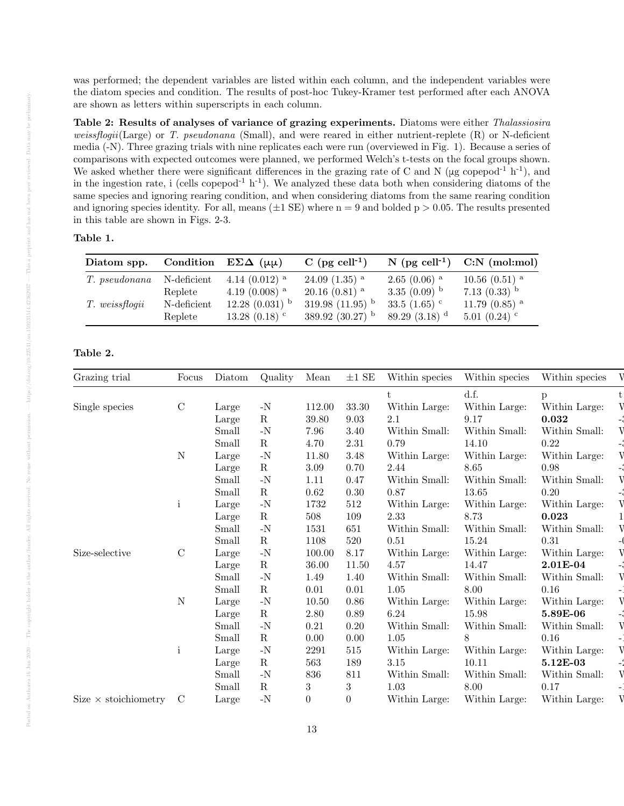was performed; the dependent variables are listed within each column, and the independent variables were the diatom species and condition. The results of post-hoc Tukey-Kramer test performed after each ANOVA are shown as letters within superscripts in each column.

Table 2: Results of analyses of variance of grazing experiments. Diatoms were either Thalassiosira weissflogii(Large) or T. pseudonana (Small), and were reared in either nutrient-replete  $(R)$  or N-deficient media (-N). Three grazing trials with nine replicates each were run (overviewed in Fig. 1). Because a series of comparisons with expected outcomes were planned, we performed Welch's t-tests on the focal groups shown. We asked whether there were significant differences in the grazing rate of C and N ( $\mu$ g copepod<sup>-1</sup> h<sup>-1</sup>), and in the ingestion rate, i (cells copepod<sup>-1</sup> h<sup>-1</sup>). We analyzed these data both when considering diatoms of the same species and ignoring rearing condition, and when considering diatoms from the same rearing condition and ignoring species identity. For all, means  $(\pm 1 \text{ SE})$  where  $n = 9$  and bolded  $p > 0.05$ . The results presented in this table are shown in Figs. 2-3.

#### Table 1.

| Diatom spp.    |             | Condition $E\Sigma\Delta(\mu\mu)$ | C (pg cell <sup>-1</sup> )    | $N$ (pg cell <sup>-1</sup> ) | $C:N$ (mol:mol)               |
|----------------|-------------|-----------------------------------|-------------------------------|------------------------------|-------------------------------|
| T. pseudonana  | N-deficient | 4.14 $(0.012)$ <sup>a</sup>       | $24.09(1.35)$ <sup>a</sup>    | $2.65(0.06)$ <sup>a</sup>    | $10.56$ $(0.51)$ <sup>a</sup> |
|                | Replete     | 4.19 $(0.008)$ <sup>a</sup>       | $20.16(0.81)$ <sup>a</sup>    | 3.35 $(0.09)$ b              | 7.13 $(0.33)$ <sup>b</sup>    |
| T. weissflogii | N-deficient | $12.28(0.031)$ <sup>b</sup>       | 319.98 $(11.95)$ <sup>b</sup> | 33.5 $(1.65)$ <sup>c</sup>   | 11.79 $(0.85)$ <sup>a</sup>   |
|                | Replete     | $13.28(0.18)$ <sup>c</sup>        | 389.92 $(30.27)$ <sup>b</sup> | 89.29 $(3.18)^d$             | 5.01(0.24)                    |

# Table 2.

| Grazing trial               | Focus         | Diatom | Quality       | Mean           | $\pm 1$ SE     | Within species | Within species | Within species |  |
|-----------------------------|---------------|--------|---------------|----------------|----------------|----------------|----------------|----------------|--|
|                             |               |        |               |                |                |                | d.f.           | p              |  |
| Single species              | $\mathcal{C}$ | Large  | $-N$          | 112.00         | 33.30          | Within Large:  | Within Large:  | Within Large:  |  |
|                             |               | Large  | $\mathbf R$   | 39.80          | 9.03           | 2.1            | 9.17           | 0.032          |  |
|                             |               | Small  | $\mathbf{-N}$ | 7.96           | 3.40           | Within Small:  | Within Small:  | Within Small:  |  |
|                             |               | Small  | $\mathbf R$   | 4.70           | 2.31           | 0.79           | 14.10          | 0.22           |  |
|                             | N             | Large  | $-N$          | 11.80          | 3.48           | Within Large:  | Within Large:  | Within Large:  |  |
|                             |               | Large  | $\mathbf R$   | 3.09           | 0.70           | 2.44           | 8.65           | 0.98           |  |
|                             |               | Small  | $\mathbf{-N}$ | 1.11           | 0.47           | Within Small:  | Within Small:  | Within Small:  |  |
|                             |               | Small  | R             | 0.62           | 0.30           | 0.87           | 13.65          | 0.20           |  |
|                             |               | Large  | $-N$          | 1732           | 512            | Within Large:  | Within Large:  | Within Large:  |  |
|                             |               | Large  | $\rm R$       | 508            | 109            | 2.33           | 8.73           | 0.023          |  |
|                             |               | Small  | $-N$          | 1531           | 651            | Within Small:  | Within Small:  | Within Small:  |  |
|                             |               | Small  | $\mathbf R$   | 1108           | 520            | 0.51           | 15.24          | $0.31\,$       |  |
| Size-selective              | $\mathcal{C}$ | Large  | $\mathbf{-N}$ | 100.00         | 8.17           | Within Large:  | Within Large:  | Within Large:  |  |
|                             |               | Large  | $\mathbf R$   | 36.00          | 11.50          | 4.57           | 14.47          | 2.01E-04       |  |
|                             |               | Small  | $-N$          | 1.49           | 1.40           | Within Small:  | Within Small:  | Within Small:  |  |
|                             |               | Small  | $\mathbf R$   | 0.01           | 0.01           | 1.05           | 8.00           | 0.16           |  |
|                             | N             | Large  | $-N$          | 10.50          | 0.86           | Within Large:  | Within Large:  | Within Large:  |  |
|                             |               | Large  | $\mathbf R$   | 2.80           | 0.89           | 6.24           | 15.98          | 5.89E-06       |  |
|                             |               | Small  | $\mathbf{-N}$ | 0.21           | 0.20           | Within Small:  | Within Small:  | Within Small:  |  |
|                             |               | Small  | $\mathbf R$   | 0.00           | 0.00           | 1.05           | 8              | 0.16           |  |
|                             | j.            | Large  | $\mathbf{-N}$ | 2291           | 515            | Within Large:  | Within Large:  | Within Large:  |  |
|                             |               | Large  | $\mathbf R$   | 563            | 189            | 3.15           | 10.11          | 5.12E-03       |  |
|                             |               | Small  | $-N$          | 836            | 811            | Within Small:  | Within Small:  | Within Small:  |  |
|                             |               | Small  | $\mathbf R$   | 3              | $\sqrt{3}$     | 1.03           | 8.00           | 0.17           |  |
| Size $\times$ stoichiometry | $\mathcal{C}$ | Large  | $\mathbf{-N}$ | $\overline{0}$ | $\overline{0}$ | Within Large:  | Within Large:  | Within Large:  |  |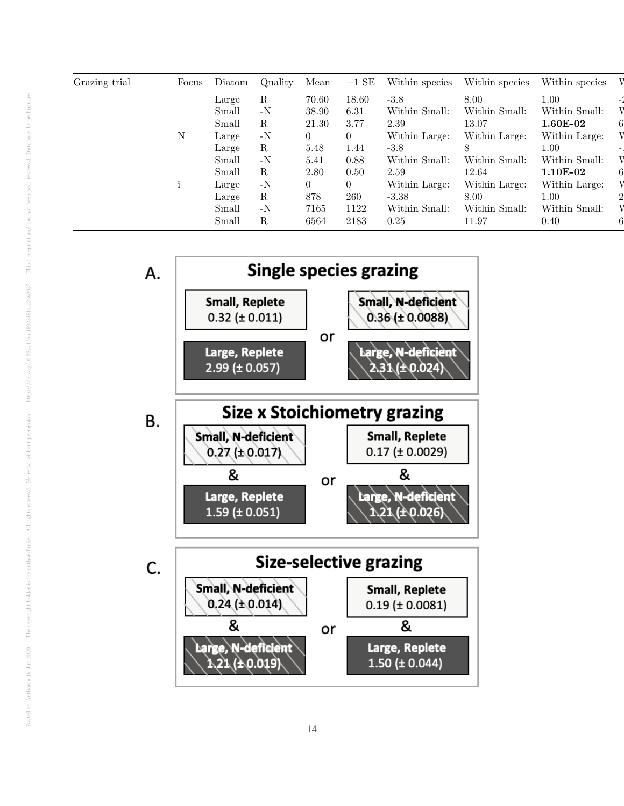| Grazing trial | Focus | Diatom | Quality       | Mean           | $\pm 1$ SE     | Within species | Within species | Within species |  |
|---------------|-------|--------|---------------|----------------|----------------|----------------|----------------|----------------|--|
|               |       | Large  | R             | 70.60          | 18.60          | $-3.8$         | 8.00           | 1.00           |  |
|               |       | Small  | $-N$          | 38.90          | 6.31           | Within Small:  | Within Small:  | Within Small:  |  |
|               |       | Small  | R             | 21.30          | 3.77           | 2.39           | 13.07          | $1.60E-02$     |  |
|               | N     | Large  | $-N$          | $\overline{0}$ | 0              | Within Large:  | Within Large:  | Within Large:  |  |
|               |       | Large  | R             | 5.48           | 1.44           | $-3.8$         |                | 1.00           |  |
|               |       | Small  | $-N$          | 5.41           | 0.88           | Within Small:  | Within Small:  | Within Small:  |  |
|               |       | Small  | R             | 2.80           | 0.50           | 2.59           | 12.64          | $1.10E-02$     |  |
|               |       | Large  | $\mathbf{-N}$ | $\overline{0}$ | $\overline{0}$ | Within Large:  | Within Large:  | Within Large:  |  |
|               |       | Large  | R             | 878            | 260            | $-3.38$        | 8.00           | 1.00           |  |
|               |       | Small  | $-N$          | 7165           | 1122           | Within Small:  | Within Small:  | Within Small:  |  |
|               |       | Small  | R             | 6564           | 2183           | 0.25           | 11.97          | 0.40           |  |

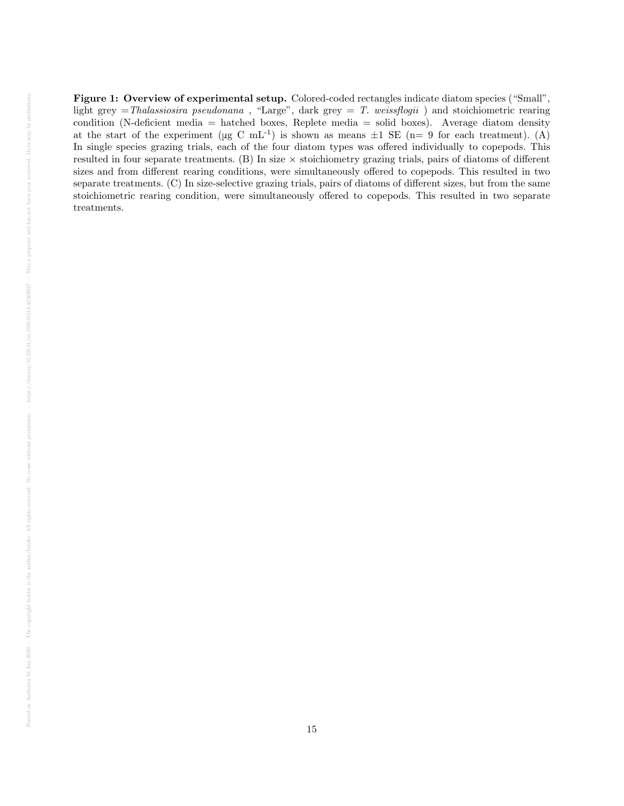Figure 1: Overview of experimental setup. Colored-coded rectangles indicate diatom species ("Small", light grey  $=Thalassiosira$  pseudonana, "Large", dark grey  $= T.$  weissflogii) and stoichiometric rearing condition (N-deficient media = hatched boxes, Replete media = solid boxes). Average diatom density at the start of the experiment ( $\mu$ g C mL<sup>-1</sup>) is shown as means  $\pm 1$  SE (n= 9 for each treatment). (A) In single species grazing trials, each of the four diatom types was offered individually to copepods. This resulted in four separate treatments.  $(B)$  In size  $\times$  stoichiometry grazing trials, pairs of diatoms of different sizes and from different rearing conditions, were simultaneously offered to copepods. This resulted in two separate treatments. (C) In size-selective grazing trials, pairs of diatoms of different sizes, but from the same stoichiometric rearing condition, were simultaneously offered to copepods. This resulted in two separate treatments.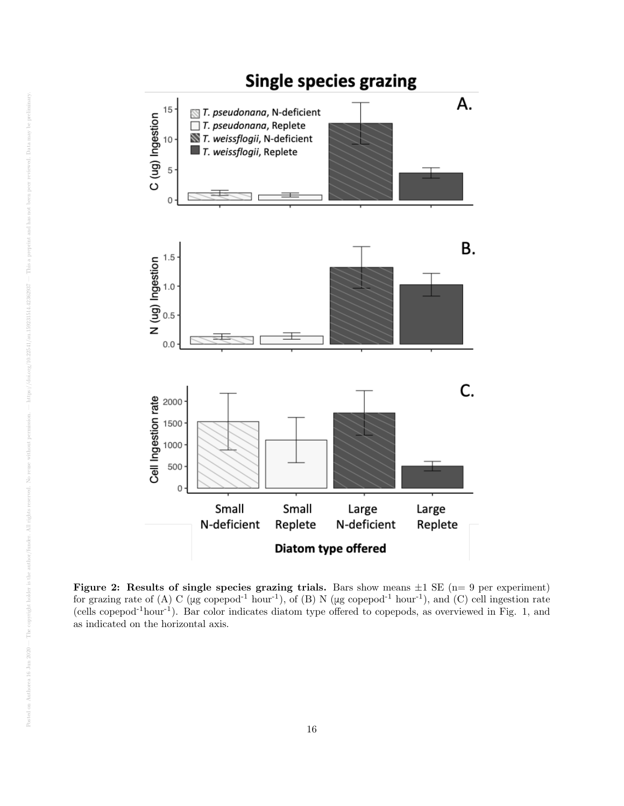

Figure 2: Results of single species grazing trials. Bars show means  $\pm 1$  SE (n= 9 per experiment) for grazing rate of (A) C ( $\mu$ g copepod<sup>-1</sup> hour<sup>-1</sup>), of (B) N ( $\mu$ g copepod<sup>-1</sup> hour<sup>-1</sup>), and (C) cell ingestion rate (cells copepod-1hour-1). Bar color indicates diatom type offered to copepods, as overviewed in Fig. 1, and as indicated on the horizontal axis.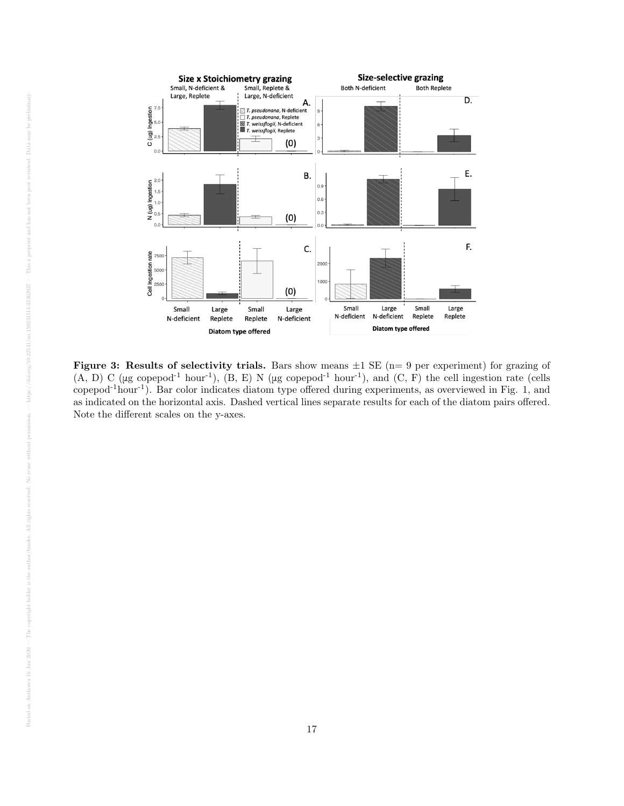

Figure 3: Results of selectivity trials. Bars show means  $\pm 1$  SE (n= 9 per experiment) for grazing of  $(A, D)$  C (μg copepod<sup>-1</sup> hour<sup>-1</sup>),  $(B, E)$  N (μg copepod<sup>-1</sup> hour<sup>-1</sup>), and  $(C, F)$  the cell ingestion rate (cells copepod-1hour-1). Bar color indicates diatom type offered during experiments, as overviewed in Fig. 1, and as indicated on the horizontal axis. Dashed vertical lines separate results for each of the diatom pairs offered. Note the different scales on the y-axes.